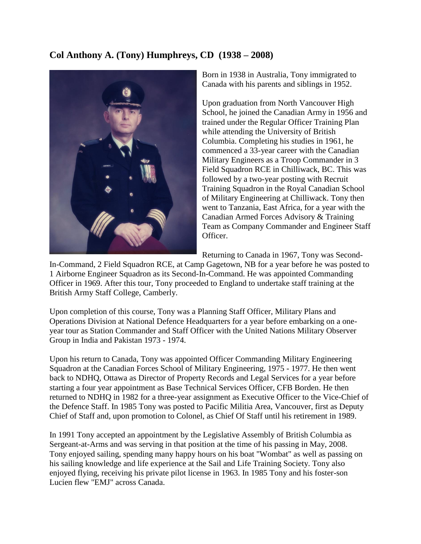## **Col Anthony A. (Tony) Humphreys, CD (1938 – 2008)**



Born in 1938 in Australia, Tony immigrated to Canada with his parents and siblings in 1952.

Upon graduation from North Vancouver High School, he joined the Canadian Army in 1956 and trained under the Regular Officer Training Plan while attending the University of British Columbia. Completing his studies in 1961, he commenced a 33-year career with the Canadian Military Engineers as a Troop Commander in 3 Field Squadron RCE in Chilliwack, BC. This was followed by a two-year posting with Recruit Training Squadron in the Royal Canadian School of Military Engineering at Chilliwack. Tony then went to Tanzania, East Africa, for a year with the Canadian Armed Forces Advisory & Training Team as Company Commander and Engineer Staff Officer.

Returning to Canada in 1967, Tony was Second-

In-Command, 2 Field Squadron RCE, at Camp Gagetown, NB for a year before he was posted to 1 Airborne Engineer Squadron as its Second-In-Command. He was appointed Commanding Officer in 1969. After this tour, Tony proceeded to England to undertake staff training at the British Army Staff College, Camberly.

Upon completion of this course, Tony was a Planning Staff Officer, Military Plans and Operations Division at National Defence Headquarters for a year before embarking on a oneyear tour as Station Commander and Staff Officer with the United Nations Military Observer Group in India and Pakistan 1973 - 1974.

Upon his return to Canada, Tony was appointed Officer Commanding Military Engineering Squadron at the Canadian Forces School of Military Engineering, 1975 - 1977. He then went back to NDHQ, Ottawa as Director of Property Records and Legal Services for a year before starting a four year appointment as Base Technical Services Officer, CFB Borden. He then returned to NDHQ in 1982 for a three-year assignment as Executive Officer to the Vice-Chief of the Defence Staff. In 1985 Tony was posted to Pacific Militia Area, Vancouver, first as Deputy Chief of Staff and, upon promotion to Colonel, as Chief Of Staff until his retirement in 1989.

In 1991 Tony accepted an appointment by the Legislative Assembly of British Columbia as Sergeant-at-Arms and was serving in that position at the time of his passing in May, 2008. Tony enjoyed sailing, spending many happy hours on his boat "Wombat" as well as passing on his sailing knowledge and life experience at the Sail and Life Training Society. Tony also enjoyed flying, receiving his private pilot license in 1963. In 1985 Tony and his foster-son Lucien flew "EMJ" across Canada.